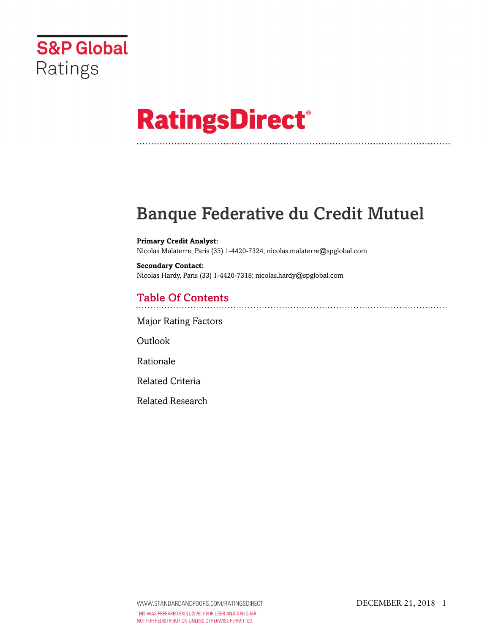

# **RatingsDirect®**

# Banque Federative du Credit Mutuel

**Primary Credit Analyst:** Nicolas Malaterre, Paris (33) 1-4420-7324; nicolas.malaterre@spglobal.com

**Secondary Contact:** Nicolas Hardy, Paris (33) 1-4420-7318; nicolas.hardy@spglobal.com

# Table Of Contents

[Major Rating Factors](#page-1-0)

Outlook

[Rationale](#page-2-0)

[Related Criteria](#page-5-0)

[Related Research](#page-5-1)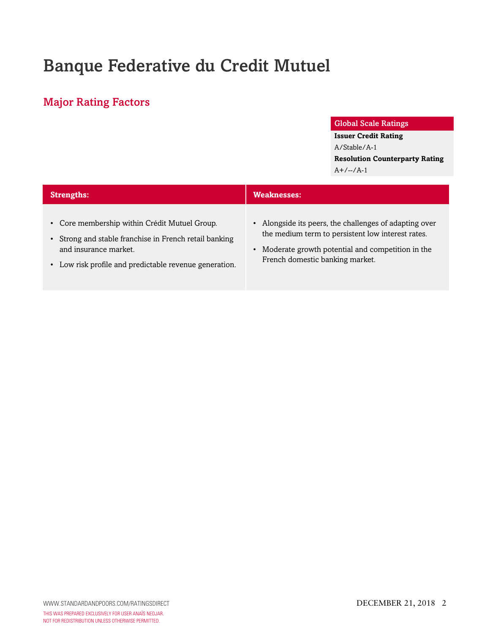# Banque Federative du Credit Mutuel

# <span id="page-1-0"></span>Major Rating Factors

#### Global Scale Ratings

**Issuer Credit Rating**

A/Stable/A-1 **Resolution Counterparty Rating**  $A+/-/-/A-1$ 

| <b>Strengths:</b>                                                                                                                                                                          | Weaknesses:                                                                                                                                                                                                     |  |  |
|--------------------------------------------------------------------------------------------------------------------------------------------------------------------------------------------|-----------------------------------------------------------------------------------------------------------------------------------------------------------------------------------------------------------------|--|--|
| • Core membership within Crédit Mutuel Group.<br>• Strong and stable franchise in French retail banking<br>and insurance market.<br>• Low risk profile and predictable revenue generation. | • Alongside its peers, the challenges of adapting over<br>the medium term to persistent low interest rates.<br>Moderate growth potential and competition in the<br>$\bullet$<br>French domestic banking market. |  |  |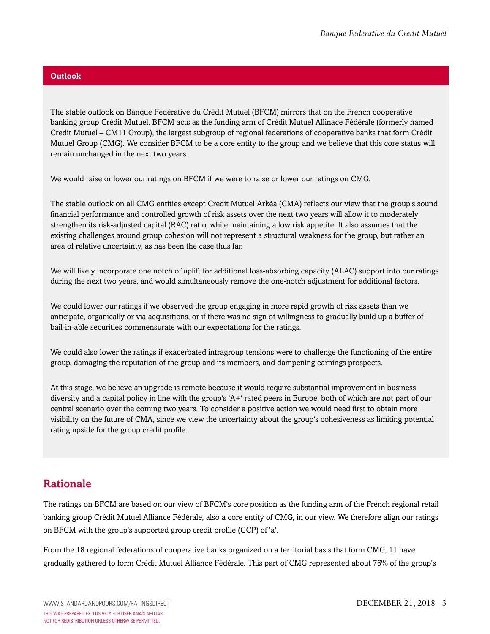#### **Outlook**

The stable outlook on Banque Fédérative du Crédit Mutuel (BFCM) mirrors that on the French cooperative banking group Crédit Mutuel. BFCM acts as the funding arm of Crédit Mutuel Allinace Fédérale (formerly named Credit Mutuel – CM11 Group), the largest subgroup of regional federations of cooperative banks that form Crédit Mutuel Group (CMG). We consider BFCM to be a core entity to the group and we believe that this core status will remain unchanged in the next two years.

We would raise or lower our ratings on BFCM if we were to raise or lower our ratings on CMG.

The stable outlook on all CMG entities except Crédit Mutuel Arkéa (CMA) reflects our view that the group's sound financial performance and controlled growth of risk assets over the next two years will allow it to moderately strengthen its risk-adjusted capital (RAC) ratio, while maintaining a low risk appetite. It also assumes that the existing challenges around group cohesion will not represent a structural weakness for the group, but rather an area of relative uncertainty, as has been the case thus far.

We will likely incorporate one notch of uplift for additional loss-absorbing capacity (ALAC) support into our ratings during the next two years, and would simultaneously remove the one-notch adjustment for additional factors.

We could lower our ratings if we observed the group engaging in more rapid growth of risk assets than we anticipate, organically or via acquisitions, or if there was no sign of willingness to gradually build up a buffer of bail-in-able securities commensurate with our expectations for the ratings.

We could also lower the ratings if exacerbated intragroup tensions were to challenge the functioning of the entire group, damaging the reputation of the group and its members, and dampening earnings prospects.

At this stage, we believe an upgrade is remote because it would require substantial improvement in business diversity and a capital policy in line with the group's 'A+' rated peers in Europe, both of which are not part of our central scenario over the coming two years. To consider a positive action we would need first to obtain more visibility on the future of CMA, since we view the uncertainty about the group's cohesiveness as limiting potential rating upside for the group credit profile.

## <span id="page-2-0"></span>Rationale

The ratings on BFCM are based on our view of BFCM's core position as the funding arm of the French regional retail banking group Crédit Mutuel Alliance Fédérale, also a core entity of CMG, in our view. We therefore align our ratings on BFCM with the group's supported group credit profile (GCP) of 'a'.

From the 18 regional federations of cooperative banks organized on a territorial basis that form CMG, 11 have gradually gathered to form Crédit Mutuel Alliance Fédérale. This part of CMG represented about 76% of the group's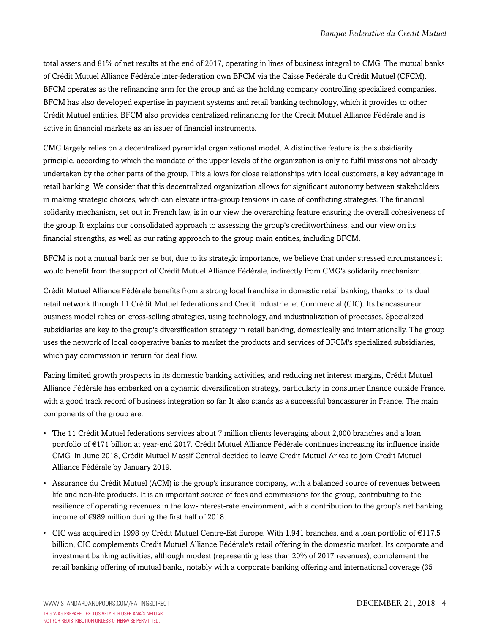total assets and 81% of net results at the end of 2017, operating in lines of business integral to CMG. The mutual banks of Crédit Mutuel Alliance Fédérale inter-federation own BFCM via the Caisse Fédérale du Crédit Mutuel (CFCM). BFCM operates as the refinancing arm for the group and as the holding company controlling specialized companies. BFCM has also developed expertise in payment systems and retail banking technology, which it provides to other Crédit Mutuel entities. BFCM also provides centralized refinancing for the Crédit Mutuel Alliance Fédérale and is active in financial markets as an issuer of financial instruments.

CMG largely relies on a decentralized pyramidal organizational model. A distinctive feature is the subsidiarity principle, according to which the mandate of the upper levels of the organization is only to fulfil missions not already undertaken by the other parts of the group. This allows for close relationships with local customers, a key advantage in retail banking. We consider that this decentralized organization allows for significant autonomy between stakeholders in making strategic choices, which can elevate intra-group tensions in case of conflicting strategies. The financial solidarity mechanism, set out in French law, is in our view the overarching feature ensuring the overall cohesiveness of the group. It explains our consolidated approach to assessing the group's creditworthiness, and our view on its financial strengths, as well as our rating approach to the group main entities, including BFCM.

BFCM is not a mutual bank per se but, due to its strategic importance, we believe that under stressed circumstances it would benefit from the support of Crédit Mutuel Alliance Fédérale, indirectly from CMG's solidarity mechanism.

Crédit Mutuel Alliance Fédérale benefits from a strong local franchise in domestic retail banking, thanks to its dual retail network through 11 Crédit Mutuel federations and Crédit Industriel et Commercial (CIC). Its bancassureur business model relies on cross-selling strategies, using technology, and industrialization of processes. Specialized subsidiaries are key to the group's diversification strategy in retail banking, domestically and internationally. The group uses the network of local cooperative banks to market the products and services of BFCM's specialized subsidiaries, which pay commission in return for deal flow.

Facing limited growth prospects in its domestic banking activities, and reducing net interest margins, Crédit Mutuel Alliance Fédérale has embarked on a dynamic diversification strategy, particularly in consumer finance outside France, with a good track record of business integration so far. It also stands as a successful bancassurer in France. The main components of the group are:

- The 11 Crédit Mutuel federations services about 7 million clients leveraging about 2,000 branches and a loan portfolio of €171 billion at year-end 2017. Crédit Mutuel Alliance Fédérale continues increasing its influence inside CMG. In June 2018, Crédit Mutuel Massif Central decided to leave Credit Mutuel Arkéa to join Credit Mutuel Alliance Fédérale by January 2019.
- Assurance du Crédit Mutuel (ACM) is the group's insurance company, with a balanced source of revenues between life and non-life products. It is an important source of fees and commissions for the group, contributing to the resilience of operating revenues in the low-interest-rate environment, with a contribution to the group's net banking income of €989 million during the first half of 2018.
- CIC was acquired in 1998 by Crédit Mutuel Centre-Est Europe. With 1,941 branches, and a loan portfolio of €117.5 billion, CIC complements Credit Mutuel Alliance Fédérale's retail offering in the domestic market. Its corporate and investment banking activities, although modest (representing less than 20% of 2017 revenues), complement the retail banking offering of mutual banks, notably with a corporate banking offering and international coverage (35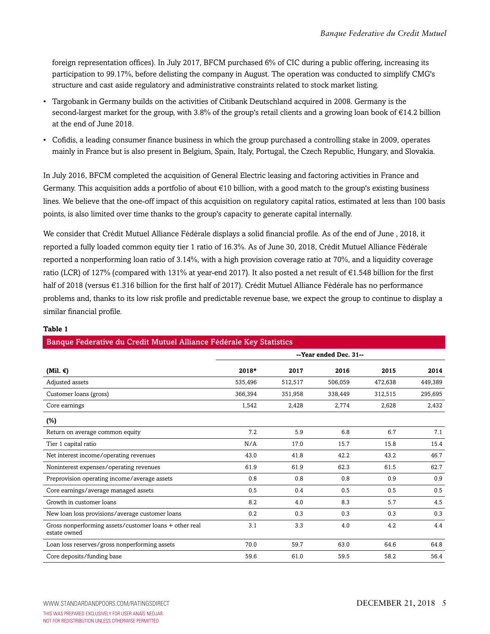foreign representation offices). In July 2017, BFCM purchased 6% of CIC during a public offering, increasing its participation to 99.17%, before delisting the company in August. The operation was conducted to simplify CMG's structure and cast aside regulatory and administrative constraints related to stock market listing.

- Targobank in Germany builds on the activities of Citibank Deutschland acquired in 2008. Germany is the second-largest market for the group, with 3.8% of the group's retail clients and a growing loan book of €14.2 billion at the end of June 2018.
- Cofidis, a leading consumer finance business in which the group purchased a controlling stake in 2009, operates mainly in France but is also present in Belgium, Spain, Italy, Portugal, the Czech Republic, Hungary, and Slovakia.

In July 2016, BFCM completed the acquisition of General Electric leasing and factoring activities in France and Germany. This acquisition adds a portfolio of about  $\epsilon$ 10 billion, with a good match to the group's existing business lines. We believe that the one-off impact of this acquisition on regulatory capital ratios, estimated at less than 100 basis points, is also limited over time thanks to the group's capacity to generate capital internally.

We consider that Crédit Mutuel Alliance Fédérale displays a solid financial profile. As of the end of June , 2018, it reported a fully loaded common equity tier 1 ratio of 16.3%. As of June 30, 2018, Crédit Mutuel Alliance Fédérale reported a nonperforming loan ratio of 3.14%, with a high provision coverage ratio at 70%, and a liquidity coverage ratio (LCR) of 127% (compared with 131% at year-end 2017). It also posted a net result of  $\epsilon$ 1.548 billion for the first half of 2018 (versus €1.316 billion for the first half of 2017). Crédit Mutuel Alliance Fédérale has no performance problems and, thanks to its low risk profile and predictable revenue base, we expect the group to continue to display a similar financial profile.

Banque Federative du Credit Mutuel Alliance Fédérale Key Statistics

|                                                                        | --Year ended Dec. 31-- |         |         |         |         |
|------------------------------------------------------------------------|------------------------|---------|---------|---------|---------|
| (Mil. $\epsilon$ )                                                     | 2018*                  | 2017    | 2016    | 2015    | 2014    |
| Adjusted assets                                                        | 535,496                | 512,517 | 506,059 | 472,638 | 449,389 |
| Customer loans (gross)                                                 | 366,394                | 351,958 | 338,449 | 312,515 | 295,695 |
| Core earnings                                                          | 1,542                  | 2,428   | 2,774   | 2,628   | 2,432   |
| $(\%)$                                                                 |                        |         |         |         |         |
| Return on average common equity                                        | 7.2                    | 5.9     | 6.8     | 6.7     | 7.1     |
| Tier 1 capital ratio                                                   | N/A                    | 17.0    | 15.7    | 15.8    | 15.4    |
| Net interest income/operating revenues                                 | 43.0                   | 41.8    | 42.2    | 43.2    | 46.7    |
| Noninterest expenses/operating revenues                                | 61.9                   | 61.9    | 62.3    | 61.5    | 62.7    |
| Preprovision operating income/average assets                           | 0.8                    | 0.8     | 0.8     | 0.9     | 0.9     |
| Core earnings/average managed assets                                   | 0.5                    | 0.4     | 0.5     | 0.5     | 0.5     |
| Growth in customer loans                                               | 8.2                    | 4.0     | 8.3     | 5.7     | 4.5     |
| New loan loss provisions/average customer loans                        | 0.2                    | 0.3     | 0.3     | 0.3     | 0.3     |
| Gross nonperforming assets/customer loans + other real<br>estate owned | 3.1                    | 3.3     | 4.0     | 4.2     | 4.4     |
| Loan loss reserves/gross nonperforming assets                          | 70.0                   | 59.7    | 63.0    | 64.6    | 64.8    |
| Core deposits/funding base                                             | 59.6                   | 61.0    | 59.5    | 58.2    | 56.4    |

#### **Table 1**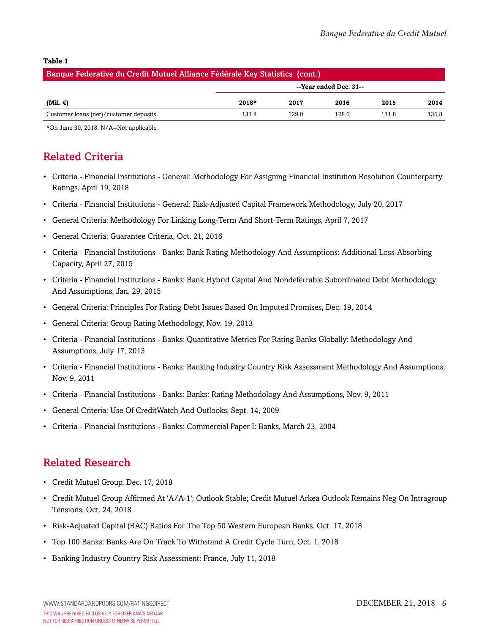#### **Table 1**

| Banque Federative du Credit Mutuel Alliance Fédérale Key Statistics (cont.) |                        |       |       |       |       |
|-----------------------------------------------------------------------------|------------------------|-------|-------|-------|-------|
|                                                                             | --Year ended Dec. 31-- |       |       |       |       |
| (Mil. €)                                                                    | $2018*$                | 2017  | 2016  | 2015  | 2014  |
| Customer loans (net)/customer deposits                                      | 131.4                  | 129.0 | 128.6 | 131.8 | 136.8 |

<span id="page-5-0"></span>\*On June 30, 2018. N/A--Not applicable.

### Related Criteria

- Criteria Financial Institutions General: Methodology For Assigning Financial Institution Resolution Counterparty Ratings, April 19, 2018
- Criteria Financial Institutions General: Risk-Adjusted Capital Framework Methodology, July 20, 2017
- General Criteria: Methodology For Linking Long-Term And Short-Term Ratings, April 7, 2017
- General Criteria: Guarantee Criteria, Oct. 21, 2016
- Criteria Financial Institutions Banks: Bank Rating Methodology And Assumptions: Additional Loss-Absorbing Capacity, April 27, 2015
- Criteria Financial Institutions Banks: Bank Hybrid Capital And Nondeferrable Subordinated Debt Methodology And Assumptions, Jan. 29, 2015
- General Criteria: Principles For Rating Debt Issues Based On Imputed Promises, Dec. 19, 2014
- General Criteria: Group Rating Methodology, Nov. 19, 2013
- Criteria Financial Institutions Banks: Quantitative Metrics For Rating Banks Globally: Methodology And Assumptions, July 17, 2013
- Criteria Financial Institutions Banks: Banking Industry Country Risk Assessment Methodology And Assumptions, Nov. 9, 2011
- Criteria Financial Institutions Banks: Banks: Rating Methodology And Assumptions, Nov. 9, 2011
- General Criteria: Use Of CreditWatch And Outlooks, Sept. 14, 2009
- Criteria Financial Institutions Banks: Commercial Paper I: Banks, March 23, 2004

### <span id="page-5-1"></span>Related Research

- Credit Mutuel Group, Dec. 17, 2018
- Credit Mutuel Group Affirmed At 'A/A-1'; Outlook Stable; Credit Mutuel Arkea Outlook Remains Neg On Intragroup Tensions, Oct. 24, 2018
- Risk-Adjusted Capital (RAC) Ratios For The Top 50 Western European Banks, Oct. 17, 2018
- Top 100 Banks: Banks Are On Track To Withstand A Credit Cycle Turn, Oct. 1, 2018
- Banking Industry Country Risk Assessment: France, July 11, 2018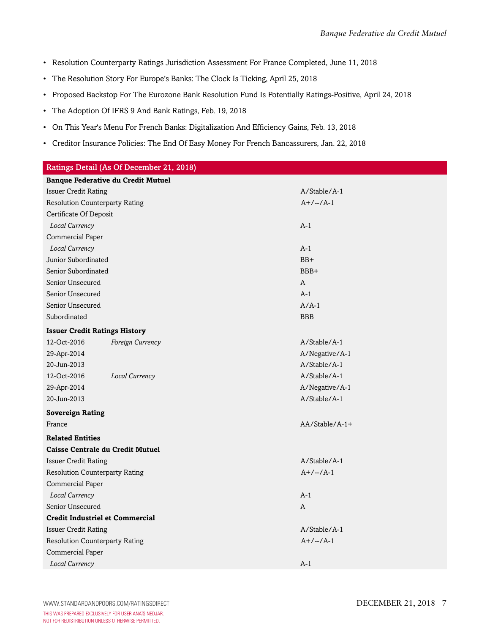- Resolution Counterparty Ratings Jurisdiction Assessment For France Completed, June 11, 2018
- The Resolution Story For Europe's Banks: The Clock Is Ticking, April 25, 2018
- Proposed Backstop For The Eurozone Bank Resolution Fund Is Potentially Ratings-Positive, April 24, 2018
- The Adoption Of IFRS 9 And Bank Ratings, Feb. 19, 2018
- On This Year's Menu For French Banks: Digitalization And Efficiency Gains, Feb. 13, 2018
- Creditor Insurance Policies: The End Of Easy Money For French Bancassurers, Jan. 22, 2018

| Ratings Detail (As Of December 21, 2018)  |                  |                |  |  |
|-------------------------------------------|------------------|----------------|--|--|
| <b>Banque Federative du Credit Mutuel</b> |                  |                |  |  |
| <b>Issuer Credit Rating</b>               |                  | A/Stable/A-1   |  |  |
| <b>Resolution Counterparty Rating</b>     |                  | $A+/-/A-1$     |  |  |
| Certificate Of Deposit                    |                  |                |  |  |
| Local Currency                            |                  | $A-1$          |  |  |
| Commercial Paper                          |                  |                |  |  |
| Local Currency                            |                  | $A-1$          |  |  |
| Junior Subordinated                       |                  | $BB+$          |  |  |
| Senior Subordinated                       |                  | BBB+           |  |  |
| Senior Unsecured                          |                  | A              |  |  |
| Senior Unsecured                          |                  | $A-1$          |  |  |
| Senior Unsecured                          |                  | $A/A-1$        |  |  |
| Subordinated                              |                  | <b>BBB</b>     |  |  |
| <b>Issuer Credit Ratings History</b>      |                  |                |  |  |
| 12-Oct-2016                               | Foreign Currency | A/Stable/A-1   |  |  |
| 29-Apr-2014                               |                  | A/Negative/A-1 |  |  |
| 20-Jun-2013                               |                  | A/Stable/A-1   |  |  |
| 12-Oct-2016                               | Local Currency   | A/Stable/A-1   |  |  |
| 29-Apr-2014                               |                  | A/Negative/A-1 |  |  |
| 20-Jun-2013                               |                  | A/Stable/A-1   |  |  |
| <b>Sovereign Rating</b>                   |                  |                |  |  |
| France                                    |                  | AA/Stable/A-1+ |  |  |
| <b>Related Entities</b>                   |                  |                |  |  |
| <b>Caisse Centrale du Credit Mutuel</b>   |                  |                |  |  |
| <b>Issuer Credit Rating</b>               |                  | A/Stable/A-1   |  |  |
| <b>Resolution Counterparty Rating</b>     |                  | $A+/-/-/A-1$   |  |  |
| Commercial Paper                          |                  |                |  |  |
| Local Currency                            |                  | $A-1$          |  |  |
| Senior Unsecured                          |                  | A              |  |  |
| <b>Credit Industriel et Commercial</b>    |                  |                |  |  |
| <b>Issuer Credit Rating</b>               |                  | A/Stable/A-1   |  |  |
| <b>Resolution Counterparty Rating</b>     |                  | $A+/-/A-1$     |  |  |
| Commercial Paper                          |                  |                |  |  |
| Local Currency                            |                  | $A-1$          |  |  |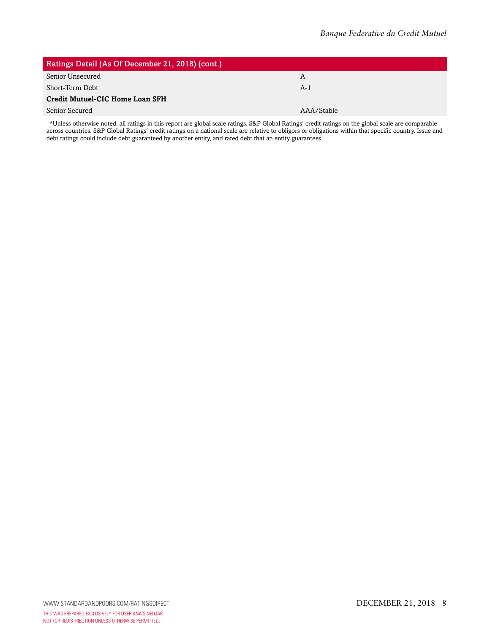| Ratings Detail (As Of December 21, 2018) (cont.) |            |  |  |
|--------------------------------------------------|------------|--|--|
| Senior Unsecured                                 | A          |  |  |
| Short-Term Debt                                  | $A-1$      |  |  |
| <b>Credit Mutuel-CIC Home Loan SFH</b>           |            |  |  |
| Senior Secured                                   | AAA/Stable |  |  |

\*Unless otherwise noted, all ratings in this report are global scale ratings. S&P Global Ratings' credit ratings on the global scale are comparable across countries. S&P Global Ratings' credit ratings on a national scale are relative to obligors or obligations within that specific country. Issue and debt ratings could include debt guaranteed by another entity, and rated debt that an entity guarantees.